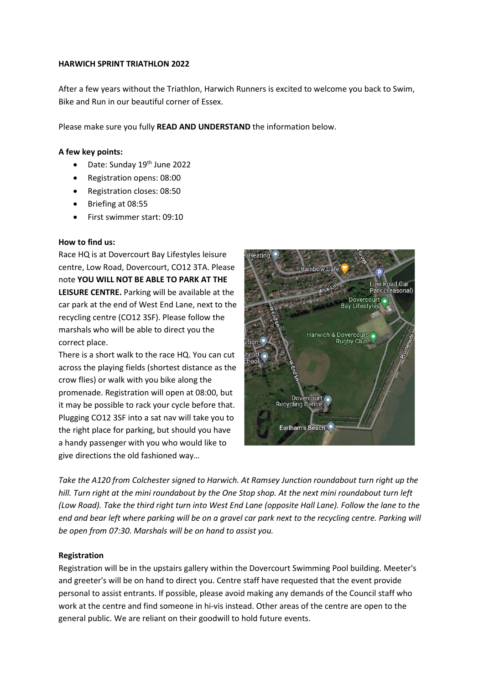### **HARWICH SPRINT TRIATHLON 2022**

After a few years without the Triathlon, Harwich Runners is excited to welcome you back to Swim, Bike and Run in our beautiful corner of Essex.

Please make sure you fully **READ AND UNDERSTAND** the information below.

# **A few key points:**

- Date: Sunday  $19<sup>th</sup>$  June 2022
- Registration opens: 08:00
- Registration closes: 08:50
- Briefing at 08:55
- First swimmer start: 09:10

# **How to find us:**

Race HQ is at Dovercourt Bay Lifestyles leisure centre, Low Road, Dovercourt, CO12 3TA. Please note **YOU WILL NOT BE ABLE TO PARK AT THE LEISURE CENTRE.** Parking will be available at the car park at the end of West End Lane, next to the recycling centre (CO12 3SF). Please follow the marshals who will be able to direct you the correct place.

There is a short walk to the race HQ. You can cut across the playing fields (shortest distance as the crow flies) or walk with you bike along the promenade. Registration will open at 08:00, but it may be possible to rack your cycle before that. Plugging CO12 3SF into a sat nav will take you to the right place for parking, but should you have a handy passenger with you who would like to give directions the old fashioned way…



*Take the A120 from Colchester signed to Harwich. At Ramsey Junction roundabout turn right up the hill. Turn right at the mini roundabout by the One Stop shop. At the next mini roundabout turn left (Low Road). Take the third right turn into West End Lane (opposite Hall Lane). Follow the lane to the end and bear left where parking will be on a gravel car park next to the recycling centre. Parking will be open from 07:30. Marshals will be on hand to assist you.*

# **Registration**

Registration will be in the upstairs gallery within the Dovercourt Swimming Pool building. Meeter's and greeter's will be on hand to direct you. Centre staff have requested that the event provide personal to assist entrants. If possible, please avoid making any demands of the Council staff who work at the centre and find someone in hi-vis instead. Other areas of the centre are open to the general public. We are reliant on their goodwill to hold future events.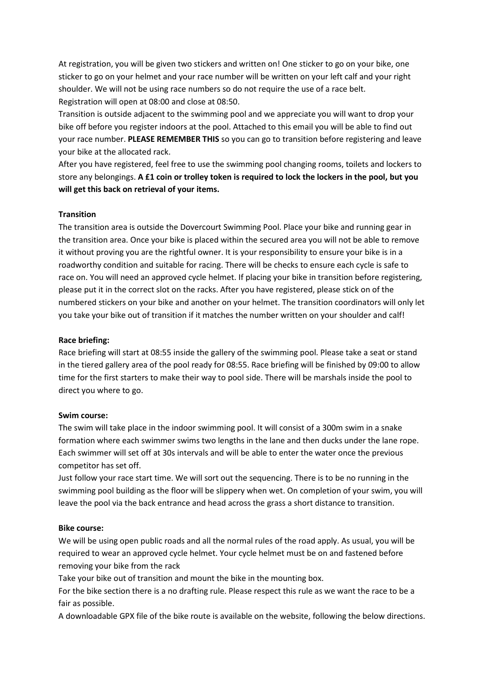At registration, you will be given two stickers and written on! One sticker to go on your bike, one sticker to go on your helmet and your race number will be written on your left calf and your right shoulder. We will not be using race numbers so do not require the use of a race belt. Registration will open at 08:00 and close at 08:50.

Transition is outside adjacent to the swimming pool and we appreciate you will want to drop your bike off before you register indoors at the pool. Attached to this email you will be able to find out your race number. **PLEASE REMEMBER THIS** so you can go to transition before registering and leave your bike at the allocated rack.

After you have registered, feel free to use the swimming pool changing rooms, toilets and lockers to store any belongings. **A £1 coin or trolley token is required to lock the lockers in the pool, but you will get this back on retrieval of your items.** 

# **Transition**

The transition area is outside the Dovercourt Swimming Pool. Place your bike and running gear in the transition area. Once your bike is placed within the secured area you will not be able to remove it without proving you are the rightful owner. It is your responsibility to ensure your bike is in a roadworthy condition and suitable for racing. There will be checks to ensure each cycle is safe to race on. You will need an approved cycle helmet. If placing your bike in transition before registering, please put it in the correct slot on the racks. After you have registered, please stick on of the numbered stickers on your bike and another on your helmet. The transition coordinators will only let you take your bike out of transition if it matches the number written on your shoulder and calf!

### **Race briefing:**

Race briefing will start at 08:55 inside the gallery of the swimming pool. Please take a seat or stand in the tiered gallery area of the pool ready for 08:55. Race briefing will be finished by 09:00 to allow time for the first starters to make their way to pool side. There will be marshals inside the pool to direct you where to go.

#### **Swim course:**

The swim will take place in the indoor swimming pool. It will consist of a 300m swim in a snake formation where each swimmer swims two lengths in the lane and then ducks under the lane rope. Each swimmer will set off at 30s intervals and will be able to enter the water once the previous competitor has set off.

Just follow your race start time. We will sort out the sequencing. There is to be no running in the swimming pool building as the floor will be slippery when wet. On completion of your swim, you will leave the pool via the back entrance and head across the grass a short distance to transition.

#### **Bike course:**

We will be using open public roads and all the normal rules of the road apply. As usual, you will be required to wear an approved cycle helmet. Your cycle helmet must be on and fastened before removing your bike from the rack

Take your bike out of transition and mount the bike in the mounting box.

For the bike section there is a no drafting rule. Please respect this rule as we want the race to be a fair as possible.

A downloadable GPX file of the bike route is available on the website, following the below directions.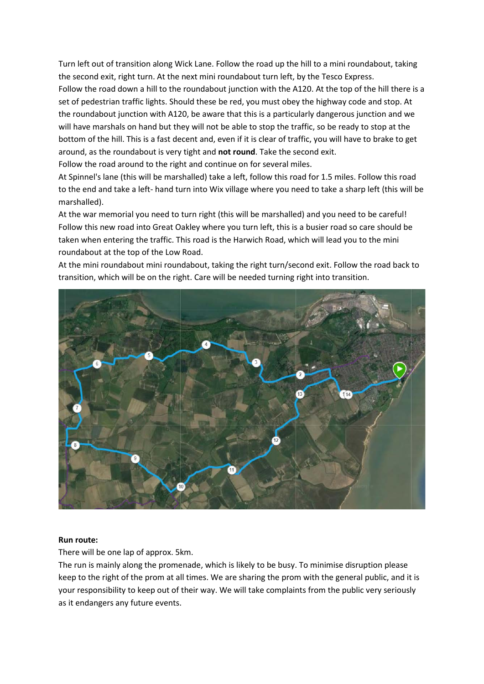Turn left out of transition along Wick Lane. Follow the road up the hill to a mini roundabout, taking the second exit, right turn. At the next mini roundabout turn left, by the Tesco Express. Follow the road down a hill to the roundabout junction with the A120. At the top of the hill there is a set of pedestrian traffic lights. Should these be red, you must obey the highway code and stop. At the roundabout junction with A120, be aware that this is a particularly dangerous junction and we will have marshals on hand but they will not be able to stop the traffic, so be ready to stop at the bottom of the hill. This is a fast decent and, even if it is clear of traffic, you will have to brake to get around, as the roundabout is very tight and **not round**. Take the second exit.

Follow the road around to the right and continue on for several miles.

At Spinnel's lane (this will be marshalled) take a left, follow this road for 1.5 miles. Follow this road to the end and take a left- hand turn into Wix village where you need to take a sharp left (this will be marshalled).

At the war memorial you need to turn right (this will be marshalled) and you need to be careful! Follow this new road into Great Oakley where you turn left, this is a busier road so care should be taken when entering the traffic. This road is the Harwich Road, which will lead you to the mini roundabout at the top of the Low Road.

At the mini roundabout mini roundabout, taking the right turn/second exit. Follow the road back to transition, which will be on the right. Care will be needed turning right into transition.



#### **Run route:**

There will be one lap of approx. 5km.

The run is mainly along the promenade, which is likely to be busy. To minimise disruption please keep to the right of the prom at all times. We are sharing the prom with the general public, and it is your responsibility to keep out of their way. We will take complaints from the public very seriously as it endangers any future events.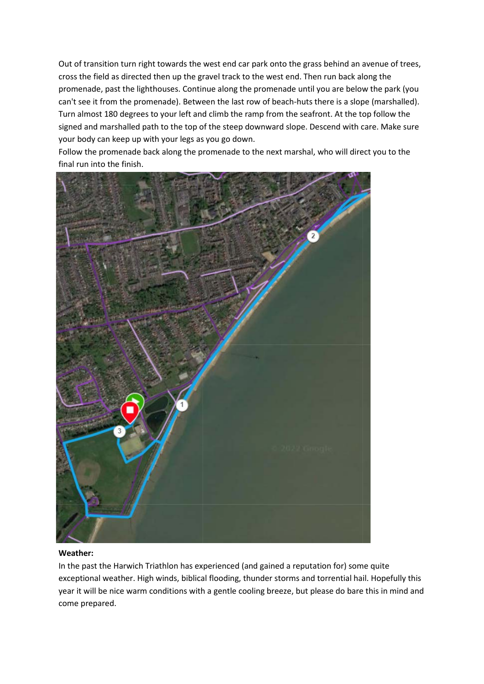Out of transition turn right towards the west end car park onto the grass behind an avenue of trees, cross the field as directed then up the gravel track to the west end. Then run back along the promenade, past the lighthouses. Continue along the promenade until you are below the park (you can't see it from the promenade). Between the last row of beach-huts there is a slope (marshalled). Turn almost 180 degrees to your left and climb the ramp from the seafront. At the top follow the signed and marshalled path to the top of the steep downward slope. Descend with care. Make sure your body can keep up with your legs as you go down.

Follow the promenade back along the promenade to the next marshal, who will direct you to the final run into the finish.



# **Weather:**

In the past the Harwich Triathlon has experienced (and gained a reputation for) some quite exceptional weather. High winds, biblical flooding, thunder storms and torrential hail. Hopefully this year it will be nice warm conditions with a gentle cooling breeze, but please do bare this in mind and come prepared.